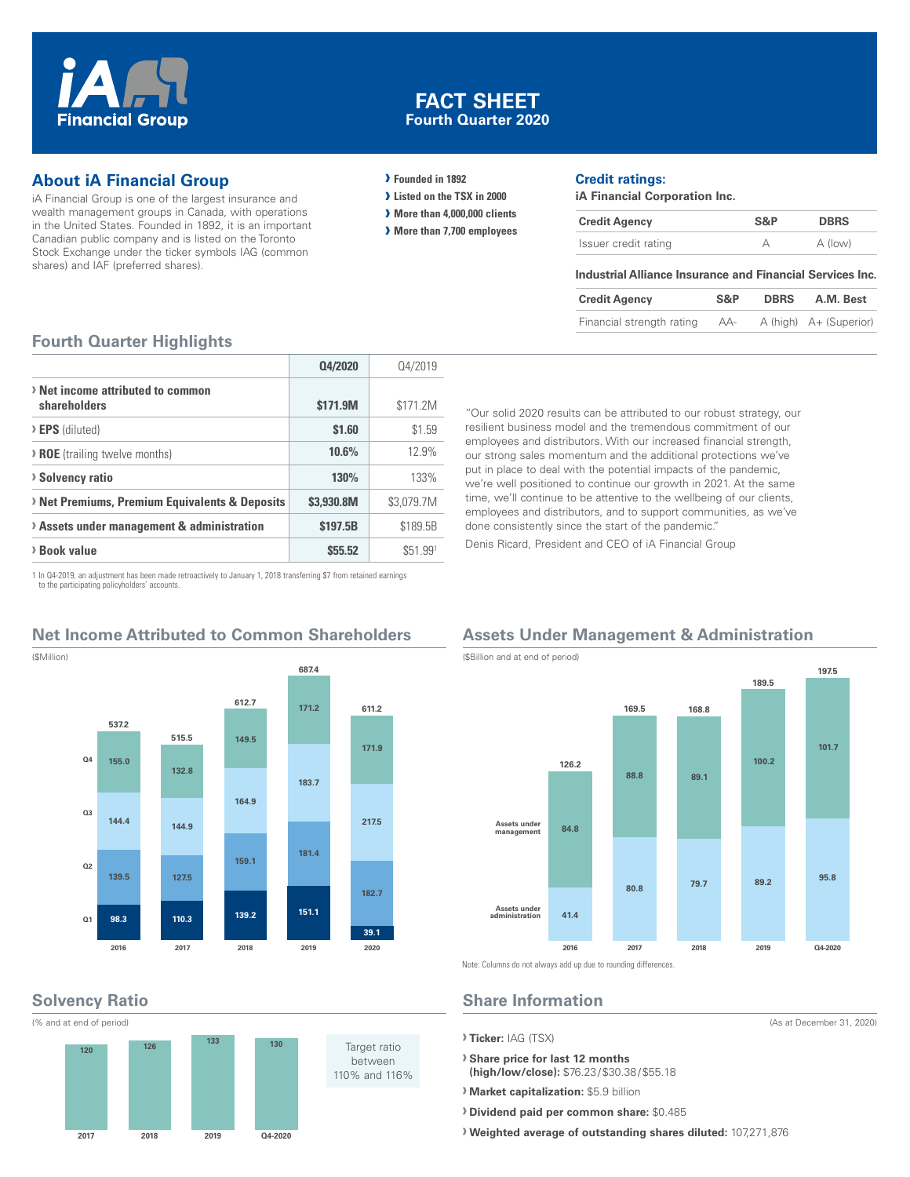

## **FACT SHEET Fourth Quarter 2020**

## **About iA Financial Group**

iA Financial Group is one of the largest insurance and wealth management groups in Canada, with operations in the United States. Founded in 1892, it is an important Canadian public company and is listed on the Toronto Stock Exchange under the ticker symbols IAG (common shares) and IAF (preferred shares).

#### **› Founded in 1892**

- **› Listed on the TSX in 2000**
- **› More than 4,000,000 clients**
- **› More than 7,700 employees**

#### **Credit ratings:**

**iA Financial Corporation Inc.**

| <b>Credit Agency</b> | S&P | <b>DBRS</b> |  |
|----------------------|-----|-------------|--|
| Issuer credit rating |     | A (low)     |  |

#### **Industrial Alliance Insurance and Financial Services Inc.**

| <b>Credit Agency</b>      | S&P | <b>DBRS</b> | A.M. Best              |
|---------------------------|-----|-------------|------------------------|
| Financial strength rating | AA- |             | A (high) A+ (Superior) |

#### **Fourth Quarter Highlights**

|                                                   | Q4/2020    | Q4/2019    |
|---------------------------------------------------|------------|------------|
| > Net income attributed to common<br>shareholders | \$171.9M   | \$171.2M   |
| > EPS (diluted)                                   | \$1.60     | \$1.59     |
| > ROE (trailing twelve months)                    | 10.6%      | 12.9%      |
| > Solvency ratio                                  | 130%       | 133%       |
| > Net Premiums, Premium Equivalents & Deposits    | \$3.930.8M | \$3,079.7M |
| > Assets under management & administration        | \$197.5B   | \$189.5B   |
| > Book value                                      | \$55.52    | \$51.991   |

employees and distributors. With our increased financial strength, our strong sales momentum and the additional protections we've put in place to deal with the potential impacts of the pandemic, we're well positioned to continue our growth in 2021. At the same time, we'll continue to be attentive to the wellbeing of our clients, employees and distributors, and to support communities, as we've done consistently since the start of the pandemic." Denis Ricard, President and CEO of iA Financial Group

"Our solid 2020 results can be attributed to our robust strategy, our resilient business model and the tremendous commitment of our

1 In Q4-2019, an adjustment has been made retroactively to January 1, 2018 transferring \$7 from retained earnings to the participating policyholders' accounts.

## **Net Income Attributed to Common Shareholders**



**Solvency Ratio**



## **Assets Under Management & Administration**



(As at December 31, 2020)

Note: Columns do not always add up due to rounding differences.

# **Share Information**

**› Ticker:** IAG (TSX)

**› Share price for last 12 months (high/low/close):** \$76.23/\$30.38/\$55.18

**› Market capitalization:** \$5.9 billion

**› Dividend paid per common share:** \$0.485

**› Weighted average of outstanding shares diluted:** 107,271,876